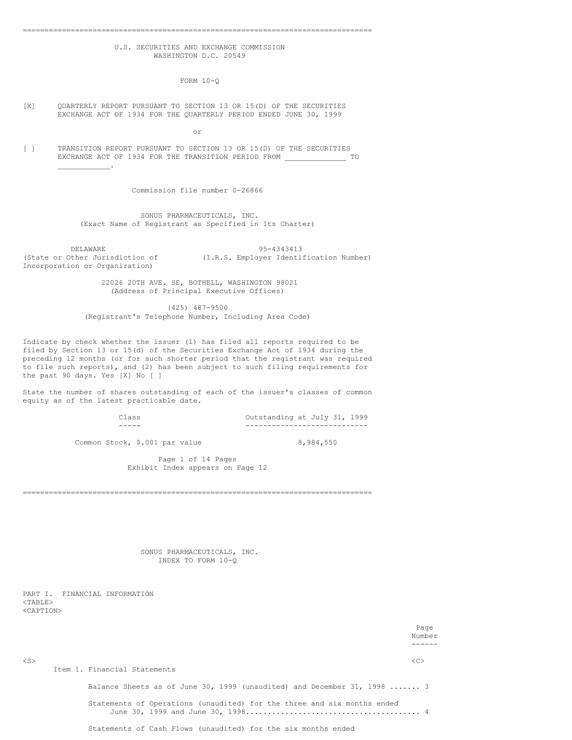# U.S. SECURITIES AND EXCHANGE COMMISSION WASHINGTON D.C. 20549

================================================================================

FORM 10-Q

#### [X] QUARTERLY REPORT PURSUANT TO SECTION 13 OR 15(D) OF THE SECURITIES EXCHANGE ACT OF 1934 FOR THE QUARTERLY PERIOD ENDED JUNE 30, 1999

or

[ ] TRANSITION REPORT PURSUANT TO SECTION 13 OR 15(D) OF THE SECURITIES EXCHANGE ACT OF 1934 FOR THE TRANSITION PERIOD FROM \_\_\_\_\_\_\_\_\_\_\_\_\_\_ TO

Commission file number 0-26866

SONUS PHARMACEUTICALS, INC. (Exact Name of Registrant as Specified in Its Charter)

DELAWARE 95-4343413<br>(State or Other Jurisdiction of (I.R.S. Employer Identi) (I.R.S. Employer Identification Number) Incorporation or Organization)

> 22026 20TH AVE. SE, BOTHELL, WASHINGTON 98021 (Address of Principal Executive Offices)

(425) 487-9500 (Registrant's Telephone Number, Including Area Code)

Indicate by check whether the issuer (1) has filed all reports required to be filed by Section 13 or 15(d) of the Securities Exchange Act of 1934 during the preceding 12 months (or for such shorter period that the registrant was required to file such reports), and (2) has been subject to such filing requirements for the past 90 days. Yes [X] No [ ]

State the number of shares outstanding of each of the issuer's classes of common equity as of the latest practicable date.

Class Outstanding at July 31, 1999 ----- ----------------------------

Common Stock, \$.001 par value 8,984,550

Page 1 of 14 Pages Exhibit Index appears on Page 12

================================================================================

SONUS PHARMACEUTICALS, INC. INDEX TO FORM 10-Q

PART I. FINANCIAL INFORMATION <TABLE> <CAPTION>

 $\mathcal{L}_\text{max}$  and  $\mathcal{L}_\text{max}$ 

Page Number <S> <C> Item 1. Financial Statements Balance Sheets as of June 30, 1999 (unaudited) and December 31, 1998 ....... 3 Statements of Operations (unaudited) for the three and six months ended June 30, 1999 and June 30, 1998........................................ 4

Statements of Cash Flows (unaudited) for the six months ended

------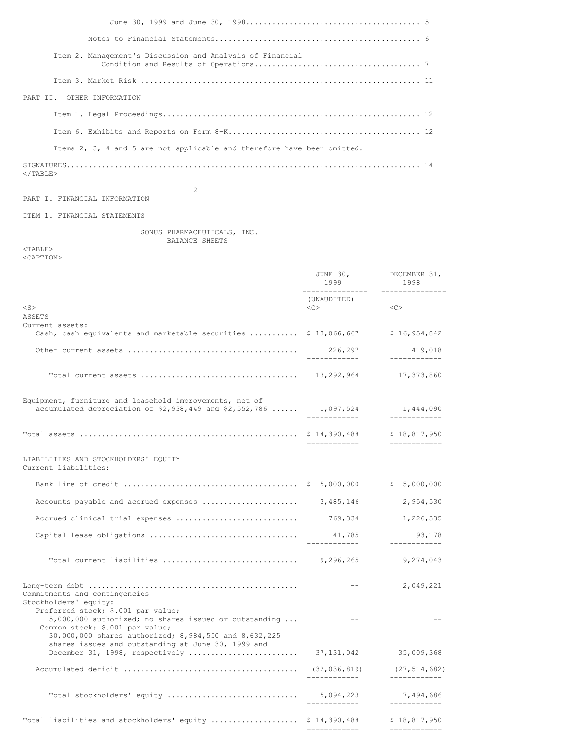| Item 2. Management's Discussion and Analysis of Financial               |  |
|-------------------------------------------------------------------------|--|
|                                                                         |  |
| PART II. OTHER INFORMATION                                              |  |
|                                                                         |  |
|                                                                         |  |
| Items 2, 3, 4 and 5 are not applicable and therefore have been omitted. |  |
| $\langle$ /TABLE>                                                       |  |
| $\mathfrak{D}$                                                          |  |

PART I. FINANCIAL INFORMATION

ITEM 1. FINANCIAL STATEMENTS

SONUS PHARMACEUTICALS, INC. BALANCE SHEETS

<TABLE> <CAPTION>

JUNE 30, DECEMBER 31, 1999 1998 --------------- --------------- (UNAUDITED) <S> <C> <C> ASSETS Current assets: Cash, cash equivalents and marketable securities ............. \$ 13,066,667  $\qquad$  \$ 16,954,842 Other current assets ....................................... 226,297 419,018 ------------ ------------ Total current assets .................................... 13,292,964 17,373,860 Equipment, furniture and leasehold improvements, net of accumulated depreciation of \$2,938,449 and \$2,552,786 ...... 1,097,524 1,444,090 ------------ ------------ Total assets .................................................. \$ 14,390,488 \$ 18,817,950 ============ ============ LIABILITIES AND STOCKHOLDERS' EQUITY Current liabilities: Bank line of credit ........................................ \$ 5,000,000 \$ 5,000,000 Accounts payable and accrued expenses ...................... 3,485,146 2,954,530 Accrued clinical trial expenses ............................ 769,334 1,226,335 Capital lease obligations .................................. 41,785 93,178 ------------ ------------ Total current liabilities ............................... 9,296,265 9,274,043 Long-term debt ................................................ -- 2,049,221 Commitments and contingencies Stockholders' equity: Preferred stock; \$.001 par value;  $5,000,000$  authorized; no shares issued or outstanding  $\dots$  --Common stock; \$.001 par value; 30,000,000 shares authorized; 8,984,550 and 8,632,225 shares issues and outstanding at June 30, 1999 and December 31, 1998, respectively ......................... 37,131,042 35,009,368 Accumulated deficit ........................................ (32,036,819) (27,514,682) ------------ ------------ Total stockholders' equity .............................. 5,094,223 7,494,686 ------------ ------------ Total liabilities and stockholders' equity ......................... \$ 14,390,488 \$ 18,817,950

============ ============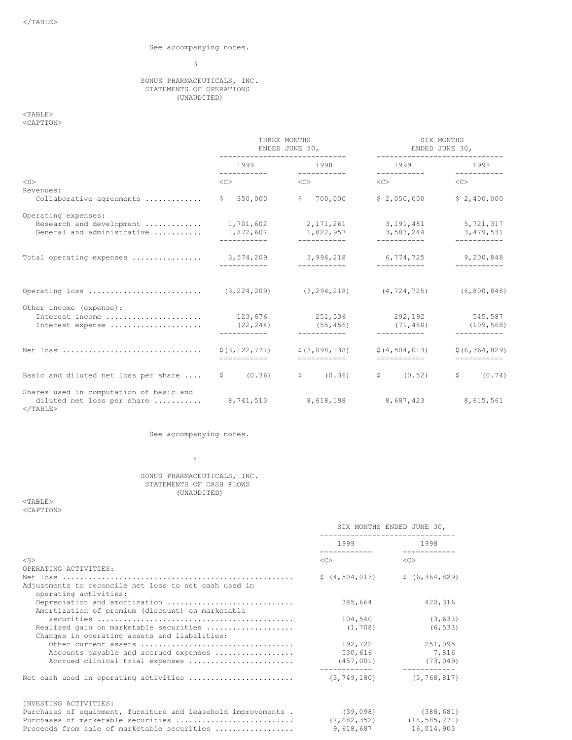# See accompanying notes.

# 3

### SONUS PHARMACEUTICALS, INC. STATEMENTS OF OPERATIONS (UNAUDITED)

 $<$ TABLE $>$ 

<CAPTION>

|                                                                                      | THREE MONTHS<br>ENDED JUNE 30,<br>----------------------------- |                                      | SIX MONTHS<br>ENDED JUNE 30,<br>---------------------                         |                                       |
|--------------------------------------------------------------------------------------|-----------------------------------------------------------------|--------------------------------------|-------------------------------------------------------------------------------|---------------------------------------|
|                                                                                      |                                                                 | 1999 1998                            | ___________                                                                   | 1999 1998<br>_____________            |
| $<$ S $>$                                                                            | $<\infty$                                                       | $<<$ $<$ $<$ $>$                     | $<\infty$                                                                     | <<                                    |
| Revenues:<br>Collaborative agreements                                                | 350,000<br>S.                                                   | \$ 700,000                           | \$2.050.000                                                                   | \$2,400,000                           |
| Operating expenses:                                                                  |                                                                 |                                      |                                                                               |                                       |
| Research and development<br>General and administrative                               | 1,872,607<br>-----------                                        | 1,822,957<br>-----------             | $1,701,602$ $2,171,261$ $3,191,481$<br>3, 583, 244 3, 479, 531<br>----------- | 5,721,317                             |
| Total operating expenses  3,574,209 3,994,218 6,774,725 9,200,848                    | -----------                                                     | ____________                         | ___________                                                                   | ------------                          |
| Operating loss                                                                       |                                                                 |                                      | $(3, 224, 209)$ $(3, 294, 218)$ $(4, 724, 725)$ $(6, 800, 848)$               |                                       |
| Other income (expense):<br>Interest income<br>Interest expense                       | 123,676<br>(22, 244)<br>___________                             | 251,536<br>(55, 456)<br>------------ | 292,192<br>(71, 480)<br>------------                                          | 545,587<br>(109, 568)<br>------------ |
| Net loss                                                                             | \$(3, 122, 777)<br>===========                                  | \$(3,098,138)<br>===========         | \$(4, 504, 013)<br>===========                                                | \$ (6, 364, 829)                      |
| Basic and diluted net loss per share $\qquad$ \$ (0.36)                              |                                                                 | \$ (0.36)                            | $\sqrt{5}$ (0.52)                                                             | \$ (0.74)                             |
| Shares used in computation of basic and<br>diluted net loss per share<br>$<$ /TABLE> | 8,741,513                                                       | 8,618,198                            | 8,687,423                                                                     | 8,615,561                             |

See accompanying notes.

4

# SONUS PHARMACEUTICALS, INC. STATEMENTS OF CASH FLOWS (UNAUDITED)

<TABLE> <CAPTION>

|                                                                                   | SIX MONTHS ENDED JUNE 30,<br>--------------------------- |                                                     |
|-----------------------------------------------------------------------------------|----------------------------------------------------------|-----------------------------------------------------|
|                                                                                   |                                                          | 1998                                                |
| $<$ S $>$                                                                         | < <sub></sub>                                            | < <sub></sub>                                       |
| OPERATING ACTIVITIES:                                                             |                                                          |                                                     |
|                                                                                   |                                                          | $\frac{1}{2}$ (4,504,013) $\frac{1}{2}$ (6,364,829) |
| Adjustments to reconcile net loss to net cash used in                             |                                                          |                                                     |
| operating activities:                                                             |                                                          |                                                     |
| Depreciation and amortization<br>Amortization of premium (discount) on marketable | 385,664                                                  | 420,316                                             |
|                                                                                   | 104,540                                                  | (3, 633)                                            |
| Realized gain on marketable securities                                            | (1, 708)                                                 | (6, 533)                                            |
| Changes in operating assets and liabilities:                                      |                                                          |                                                     |
|                                                                                   | 192,722                                                  | 251,095                                             |
| Accounts payable and accrued expenses                                             |                                                          | 530,616 7,816                                       |
| Accrued clinical trial expenses                                                   | $(457, 001)$ (73,049)                                    |                                                     |
|                                                                                   |                                                          | (5, 768, 817)                                       |
| INVESTING ACTIVITIES:                                                             |                                                          |                                                     |
| Purchases of equipment, furniture and leasehold improvements . (39,098) (388,681) |                                                          |                                                     |
| Purchases of marketable securities                                                |                                                          | $(7, 682, 352)$ $(18, 585, 271)$                    |
| Proceeds from sale of marketable securities                                       | 9,618,687                                                | 16,014,903                                          |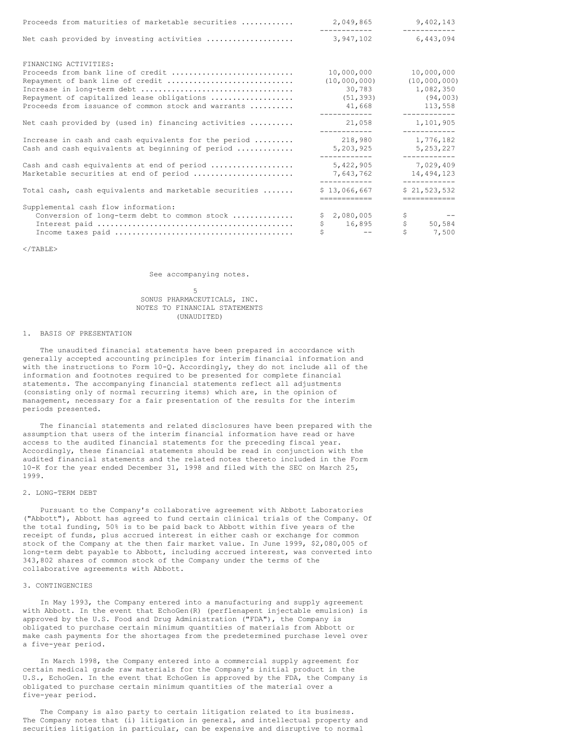| Proceeds from maturities of marketable securities      | 2,049,865                    | 9,402,143                    |
|--------------------------------------------------------|------------------------------|------------------------------|
| Net cash provided by investing activities              | ------------<br>3,947,102    | ___________<br>6,443,094     |
| FINANCING ACTIVITIES:                                  |                              |                              |
| Proceeds from bank line of credit                      | 10,000,000                   | 10,000,000                   |
| Repayment of bank line of credit                       | (10,000,000)                 | (10,000,000)                 |
|                                                        | 30,783                       | 1,082,350                    |
| Repayment of capitalized lease obligations             | (51, 393)                    | (94, 003)                    |
| Proceeds from issuance of common stock and warrants    | 41,668<br>------------       | 113,558<br>____________      |
| Net cash provided by (used in) financing activities    | 21,058<br>____________       | 1,101,905                    |
| Increase in cash and cash equivalents for the period   | 218,980                      | 1,776,182                    |
| Cash and cash equivalents at beginning of period       | 5,203,925                    | 5,253,227<br>____________    |
| Cash and cash equivalents at end of period             | 5,422,905                    | 7,029,409                    |
| Marketable securities at end of period                 | 7,643,762                    | 14,494,123                   |
| Total cash, cash equivalents and marketable securities | ------------<br>\$13,066,667 | ------------<br>\$21,523,532 |
|                                                        | ============                 | ============                 |
| Supplemental cash flow information:                    |                              |                              |
| Conversion of long-term debt to common stock           | \$2,080,005                  | \$                           |
|                                                        | \$<br>16,895                 | \$<br>50,584                 |
|                                                        | and the contract of the      | Ś<br>7,500                   |

 $<$ /TABLE>

See accompanying notes.

#### 5 SONUS PHARMACEUTICALS, INC. NOTES TO FINANCIAL STATEMENTS (UNAUDITED)

### 1. BASIS OF PRESENTATION

The unaudited financial statements have been prepared in accordance with generally accepted accounting principles for interim financial information and with the instructions to Form 10-Q. Accordingly, they do not include all of the information and footnotes required to be presented for complete financial statements. The accompanying financial statements reflect all adjustments (consisting only of normal recurring items) which are, in the opinion of management, necessary for a fair presentation of the results for the interim periods presented.

The financial statements and related disclosures have been prepared with the assumption that users of the interim financial information have read or have access to the audited financial statements for the preceding fiscal year. Accordingly, these financial statements should be read in conjunction with the audited financial statements and the related notes thereto included in the Form 10-K for the year ended December 31, 1998 and filed with the SEC on March 25, 1999.

## 2. LONG-TERM DEBT

Pursuant to the Company's collaborative agreement with Abbott Laboratories ("Abbott"), Abbott has agreed to fund certain clinical trials of the Company. Of the total funding, 50% is to be paid back to Abbott within five years of the receipt of funds, plus accrued interest in either cash or exchange for common stock of the Company at the then fair market value. In June 1999, \$2,080,005 of long-term debt payable to Abbott, including accrued interest, was converted into 343,802 shares of common stock of the Company under the terms of the collaborative agreements with Abbott.

#### 3. CONTINGENCIES

In May 1993, the Company entered into a manufacturing and supply agreement with Abbott. In the event that EchoGen(R) (perflenapent injectable emulsion) is approved by the U.S. Food and Drug Administration ("FDA"), the Company is obligated to purchase certain minimum quantities of materials from Abbott or make cash payments for the shortages from the predetermined purchase level over a five-year period.

In March 1998, the Company entered into a commercial supply agreement for certain medical grade raw materials for the Company's initial product in the U.S., EchoGen. In the event that EchoGen is approved by the FDA, the Company is obligated to purchase certain minimum quantities of the material over a five-year period.

The Company is also party to certain litigation related to its business. The Company notes that (i) litigation in general, and intellectual property and securities litigation in particular, can be expensive and disruptive to normal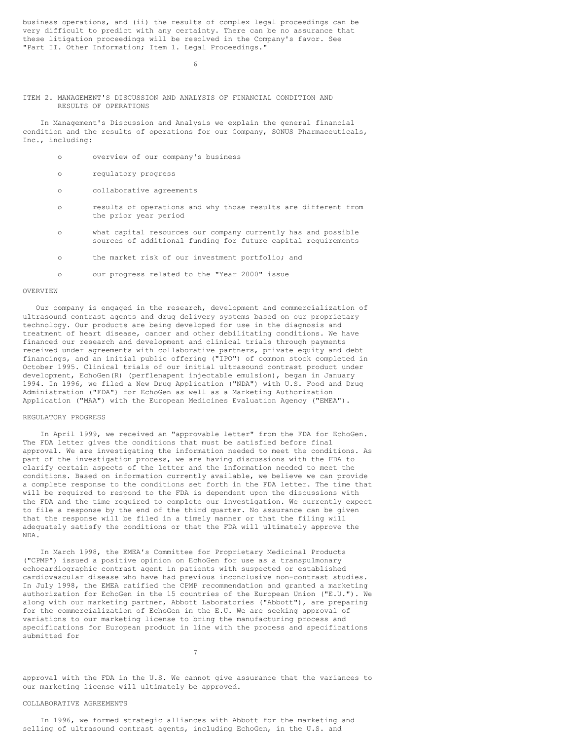business operations, and (ii) the results of complex legal proceedings can be very difficult to predict with any certainty. There can be no assurance that these litigation proceedings will be resolved in the Company's favor. See "Part II. Other Information; Item 1. Legal Proceedings."

6

#### ITEM 2. MANAGEMENT'S DISCUSSION AND ANALYSIS OF FINANCIAL CONDITION AND RESULTS OF OPERATIONS

In Management's Discussion and Analysis we explain the general financial condition and the results of operations for our Company, SONUS Pharmaceuticals, Inc., including:

- o overview of our company's business
- o regulatory progress
- o collaborative agreements
- o results of operations and why those results are different from the prior year period
- o what capital resources our company currently has and possible sources of additional funding for future capital requirements
- o the market risk of our investment portfolio; and
- o our progress related to the "Year 2000" issue

### OVERVIEW

Our company is engaged in the research, development and commercialization of ultrasound contrast agents and drug delivery systems based on our proprietary technology. Our products are being developed for use in the diagnosis and treatment of heart disease, cancer and other debilitating conditions. We have financed our research and development and clinical trials through payments received under agreements with collaborative partners, private equity and debt financings, and an initial public offering ("IPO") of common stock completed in October 1995. Clinical trials of our initial ultrasound contrast product under development, EchoGen(R) (perflenapent injectable emulsion), began in January 1994. In 1996, we filed a New Drug Application ("NDA") with U.S. Food and Drug Administration ("FDA") for EchoGen as well as a Marketing Authorization Application ("MAA") with the European Medicines Evaluation Agency ("EMEA").

### REGULATORY PROGRESS

In April 1999, we received an "approvable letter" from the FDA for EchoGen. The FDA letter gives the conditions that must be satisfied before final approval. We are investigating the information needed to meet the conditions. As part of the investigation process, we are having discussions with the FDA to clarify certain aspects of the letter and the information needed to meet the conditions. Based on information currently available, we believe we can provide a complete response to the conditions set forth in the FDA letter. The time that will be required to respond to the FDA is dependent upon the discussions with the FDA and the time required to complete our investigation. We currently expect to file a response by the end of the third quarter. No assurance can be given that the response will be filed in a timely manner or that the filing will adequately satisfy the conditions or that the FDA will ultimately approve the NDA.

In March 1998, the EMEA's Committee for Proprietary Medicinal Products ("CPMP") issued a positive opinion on EchoGen for use as a transpulmonary echocardiographic contrast agent in patients with suspected or established cardiovascular disease who have had previous inconclusive non-contrast studies. In July 1998, the EMEA ratified the CPMP recommendation and granted a marketing authorization for EchoGen in the 15 countries of the European Union ("E.U."). We along with our marketing partner, Abbott Laboratories ("Abbott"), are preparing for the commercialization of EchoGen in the E.U. We are seeking approval of variations to our marketing license to bring the manufacturing process and specifications for European product in line with the process and specifications submitted for

7

approval with the FDA in the U.S. We cannot give assurance that the variances to our marketing license will ultimately be approved.

# COLLABORATIVE AGREEMENTS

In 1996, we formed strategic alliances with Abbott for the marketing and selling of ultrasound contrast agents, including EchoGen, in the U.S. and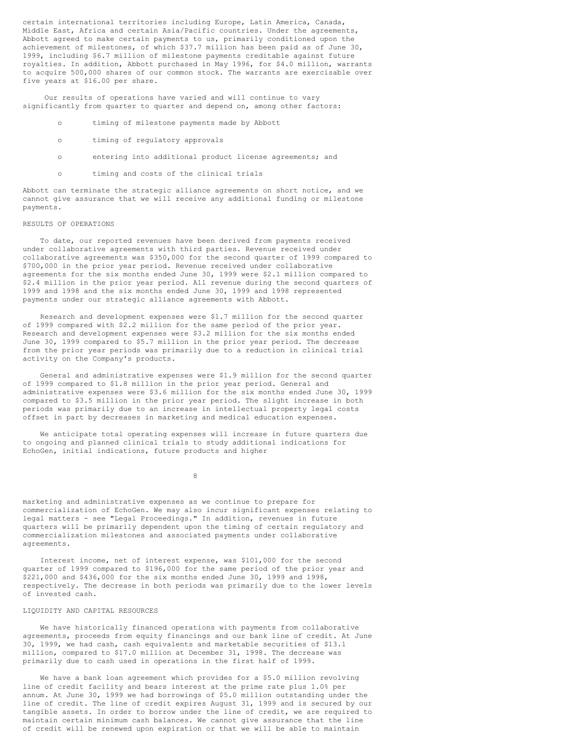certain international territories including Europe, Latin America, Canada, Middle East, Africa and certain Asia/Pacific countries. Under the agreements, Abbott agreed to make certain payments to us, primarily conditioned upon the achievement of milestones, of which \$37.7 million has been paid as of June 30, 1999, including \$6.7 million of milestone payments creditable against future royalties. In addition, Abbott purchased in May 1996, for \$4.0 million, warrants to acquire 500,000 shares of our common stock. The warrants are exercisable over five years at \$16.00 per share.

Our results of operations have varied and will continue to vary significantly from quarter to quarter and depend on, among other factors:

- o timing of milestone payments made by Abbott
- o timing of regulatory approvals
- o entering into additional product license agreements; and
- o timing and costs of the clinical trials

Abbott can terminate the strategic alliance agreements on short notice, and we cannot give assurance that we will receive any additional funding or milestone payments.

#### RESULTS OF OPERATIONS

To date, our reported revenues have been derived from payments received under collaborative agreements with third parties. Revenue received under collaborative agreements was \$350,000 for the second quarter of 1999 compared to \$700,000 in the prior year period. Revenue received under collaborative agreements for the six months ended June 30, 1999 were \$2.1 million compared to \$2.4 million in the prior year period. All revenue during the second quarters of 1999 and 1998 and the six months ended June 30, 1999 and 1998 represented payments under our strategic alliance agreements with Abbott.

Research and development expenses were \$1.7 million for the second quarter of 1999 compared with \$2.2 million for the same period of the prior year. Research and development expenses were \$3.2 million for the six months ended June 30, 1999 compared to \$5.7 million in the prior year period. The decrease from the prior year periods was primarily due to a reduction in clinical trial activity on the Company's products.

General and administrative expenses were \$1.9 million for the second quarter of 1999 compared to \$1.8 million in the prior year period. General and administrative expenses were \$3.6 million for the six months ended June 30, 1999 compared to \$3.5 million in the prior year period. The slight increase in both periods was primarily due to an increase in intellectual property legal costs offset in part by decreases in marketing and medical education expenses.

We anticipate total operating expenses will increase in future quarters due to ongoing and planned clinical trials to study additional indications for EchoGen, initial indications, future products and higher

8

marketing and administrative expenses as we continue to prepare for commercialization of EchoGen. We may also incur significant expenses relating to legal matters - see "Legal Proceedings." In addition, revenues in future quarters will be primarily dependent upon the timing of certain regulatory and commercialization milestones and associated payments under collaborative agreements.

Interest income, net of interest expense, was \$101,000 for the second quarter of 1999 compared to \$196,000 for the same period of the prior year and \$221,000 and \$436,000 for the six months ended June 30, 1999 and 1998, respectively. The decrease in both periods was primarily due to the lower levels of invested cash.

#### LIQUIDITY AND CAPITAL RESOURCES

We have historically financed operations with payments from collaborative agreements, proceeds from equity financings and our bank line of credit. At June 30, 1999, we had cash, cash equivalents and marketable securities of \$13.1 million, compared to \$17.0 million at December 31, 1998. The decrease was primarily due to cash used in operations in the first half of 1999.

We have a bank loan agreement which provides for a \$5.0 million revolving line of credit facility and bears interest at the prime rate plus 1.0% per annum. At June 30, 1999 we had borrowings of \$5.0 million outstanding under the line of credit. The line of credit expires August 31, 1999 and is secured by our tangible assets. In order to borrow under the line of credit, we are required to maintain certain minimum cash balances. We cannot give assurance that the line of credit will be renewed upon expiration or that we will be able to maintain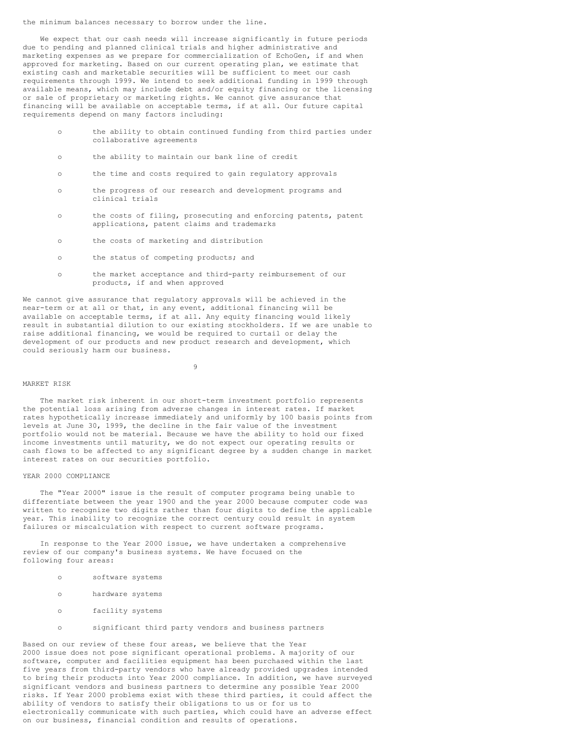the minimum balances necessary to borrow under the line.

We expect that our cash needs will increase significantly in future periods due to pending and planned clinical trials and higher administrative and marketing expenses as we prepare for commercialization of EchoGen, if and when approved for marketing. Based on our current operating plan, we estimate that existing cash and marketable securities will be sufficient to meet our cash requirements through 1999. We intend to seek additional funding in 1999 through available means, which may include debt and/or equity financing or the licensing or sale of proprietary or marketing rights. We cannot give assurance that financing will be available on acceptable terms, if at all. Our future capital requirements depend on many factors including:

- o the ability to obtain continued funding from third parties under collaborative agreements
- o the ability to maintain our bank line of credit
- o the time and costs required to gain regulatory approvals
- o the progress of our research and development programs and clinical trials
- o the costs of filing, prosecuting and enforcing patents, patent applications, patent claims and trademarks
- o the costs of marketing and distribution
- o the status of competing products; and
- o the market acceptance and third-party reimbursement of our products, if and when approved

We cannot give assurance that regulatory approvals will be achieved in the near-term or at all or that, in any event, additional financing will be available on acceptable terms, if at all. Any equity financing would likely result in substantial dilution to our existing stockholders. If we are unable to raise additional financing, we would be required to curtail or delay the development of our products and new product research and development, which could seriously harm our business.

9

#### MARKET RISK

The market risk inherent in our short-term investment portfolio represents the potential loss arising from adverse changes in interest rates. If market rates hypothetically increase immediately and uniformly by 100 basis points from levels at June 30, 1999, the decline in the fair value of the investment portfolio would not be material. Because we have the ability to hold our fixed income investments until maturity, we do not expect our operating results or cash flows to be affected to any significant degree by a sudden change in market interest rates on our securities portfolio.

#### YEAR 2000 COMPLIANCE

The "Year 2000" issue is the result of computer programs being unable to differentiate between the year 1900 and the year 2000 because computer code was written to recognize two digits rather than four digits to define the applicable year. This inability to recognize the correct century could result in system failures or miscalculation with respect to current software programs.

In response to the Year 2000 issue, we have undertaken a comprehensive review of our company's business systems. We have focused on the following four areas:

- o software systems
- o hardware systems
- o facility systems
- o significant third party vendors and business partners

Based on our review of these four areas, we believe that the Year 2000 issue does not pose significant operational problems. A majority of our software, computer and facilities equipment has been purchased within the last five years from third-party vendors who have already provided upgrades intended to bring their products into Year 2000 compliance. In addition, we have surveyed significant vendors and business partners to determine any possible Year 2000 risks. If Year 2000 problems exist with these third parties, it could affect the ability of vendors to satisfy their obligations to us or for us to electronically communicate with such parties, which could have an adverse effect on our business, financial condition and results of operations.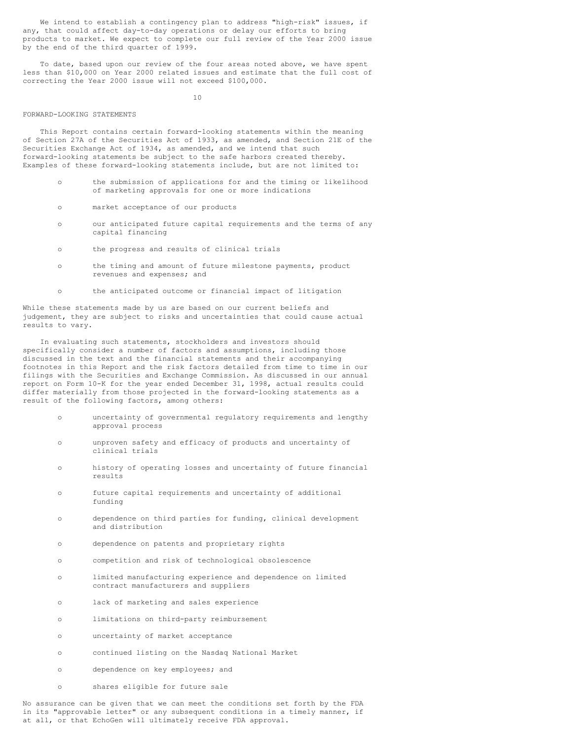We intend to establish a contingency plan to address "high-risk" issues, if any, that could affect day-to-day operations or delay our efforts to bring products to market. We expect to complete our full review of the Year 2000 issue by the end of the third quarter of 1999.

To date, based upon our review of the four areas noted above, we have spent less than \$10,000 on Year 2000 related issues and estimate that the full cost of correcting the Year 2000 issue will not exceed \$100,000.

 $1<sub>0</sub>$ 

#### FORWARD-LOOKING STATEMENTS

This Report contains certain forward-looking statements within the meaning of Section 27A of the Securities Act of 1933, as amended, and Section 21E of the Securities Exchange Act of 1934, as amended, and we intend that such forward-looking statements be subject to the safe harbors created thereby. Examples of these forward-looking statements include, but are not limited to:

- o the submission of applications for and the timing or likelihood of marketing approvals for one or more indications
- o market acceptance of our products
- o our anticipated future capital requirements and the terms of any capital financing
- o the progress and results of clinical trials
- o the timing and amount of future milestone payments, product revenues and expenses; and
- o the anticipated outcome or financial impact of litigation

While these statements made by us are based on our current beliefs and judgement, they are subject to risks and uncertainties that could cause actual results to vary.

In evaluating such statements, stockholders and investors should specifically consider a number of factors and assumptions, including those discussed in the text and the financial statements and their accompanying footnotes in this Report and the risk factors detailed from time to time in our filings with the Securities and Exchange Commission. As discussed in our annual report on Form 10-K for the year ended December 31, 1998, actual results could differ materially from those projected in the forward-looking statements as a result of the following factors, among others:

- o uncertainty of governmental regulatory requirements and lengthy approval process
- o unproven safety and efficacy of products and uncertainty of clinical trials
- o history of operating losses and uncertainty of future financial results
- o future capital requirements and uncertainty of additional funding
- o dependence on third parties for funding, clinical development and distribution
- o dependence on patents and proprietary rights
- o competition and risk of technological obsolescence
- o limited manufacturing experience and dependence on limited contract manufacturers and suppliers
- o lack of marketing and sales experience
- o limitations on third-party reimbursement
- o uncertainty of market acceptance
- o continued listing on the Nasdaq National Market
- o dependence on key employees; and
- o shares eligible for future sale

No assurance can be given that we can meet the conditions set forth by the FDA in its "approvable letter" or any subsequent conditions in a timely manner, if at all, or that EchoGen will ultimately receive FDA approval.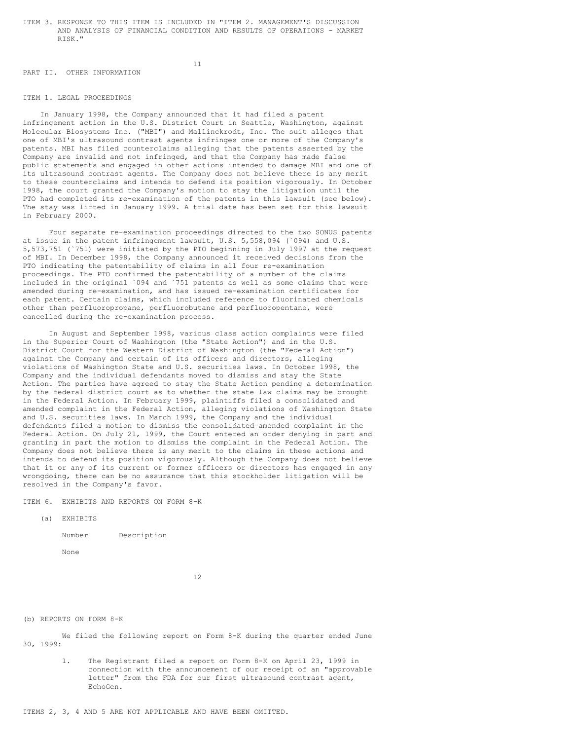ITEM 3. RESPONSE TO THIS ITEM IS INCLUDED IN "ITEM 2. MANAGEMENT'S DISCUSSION AND ANALYSIS OF FINANCIAL CONDITION AND RESULTS OF OPERATIONS - MARKET RISK."

11

#### PART II. OTHER INFORMATION

# ITEM 1. LEGAL PROCEEDINGS

In January 1998, the Company announced that it had filed a patent infringement action in the U.S. District Court in Seattle, Washington, against Molecular Biosystems Inc. ("MBI") and Mallinckrodt, Inc. The suit alleges that one of MBI's ultrasound contrast agents infringes one or more of the Company's patents. MBI has filed counterclaims alleging that the patents asserted by the Company are invalid and not infringed, and that the Company has made false public statements and engaged in other actions intended to damage MBI and one of its ultrasound contrast agents. The Company does not believe there is any merit to these counterclaims and intends to defend its position vigorously. In October 1998, the court granted the Company's motion to stay the litigation until the PTO had completed its re-examination of the patents in this lawsuit (see below). The stay was lifted in January 1999. A trial date has been set for this lawsuit in February 2000.

Four separate re-examination proceedings directed to the two SONUS patents at issue in the patent infringement lawsuit, U.S. 5,558,094 (`094) and U.S. 5,573,751 (`751) were initiated by the PTO beginning in July 1997 at the request of MBI. In December 1998, the Company announced it received decisions from the PTO indicating the patentability of claims in all four re-examination proceedings. The PTO confirmed the patentability of a number of the claims included in the original `094 and `751 patents as well as some claims that were amended during re-examination, and has issued re-examination certificates for each patent. Certain claims, which included reference to fluorinated chemicals other than perfluoropropane, perfluorobutane and perfluoropentane, were cancelled during the re-examination process.

In August and September 1998, various class action complaints were filed in the Superior Court of Washington (the "State Action") and in the U.S. District Court for the Western District of Washington (the "Federal Action") against the Company and certain of its officers and directors, alleging violations of Washington State and U.S. securities laws. In October 1998, the Company and the individual defendants moved to dismiss and stay the State Action. The parties have agreed to stay the State Action pending a determination by the federal district court as to whether the state law claims may be brought in the Federal Action. In February 1999, plaintiffs filed a consolidated and amended complaint in the Federal Action, alleging violations of Washington State and U.S. securities laws. In March 1999, the Company and the individual defendants filed a motion to dismiss the consolidated amended complaint in the Federal Action. On July 21, 1999, the Court entered an order denying in part and granting in part the motion to dismiss the complaint in the Federal Action. The Company does not believe there is any merit to the claims in these actions and intends to defend its position vigorously. Although the Company does not believe that it or any of its current or former officers or directors has engaged in any wrongdoing, there can be no assurance that this stockholder litigation will be resolved in the Company's favor.

ITEM 6. EXHIBITS AND REPORTS ON FORM 8-K

```
(a) EXHIBITS
```
Number Description

None

12

(b) REPORTS ON FORM 8-K

We filed the following report on Form 8-K during the quarter ended June 30, 1999:

> 1. The Registrant filed a report on Form 8-K on April 23, 1999 in connection with the announcement of our receipt of an "approvable letter" from the FDA for our first ultrasound contrast agent, EchoGen.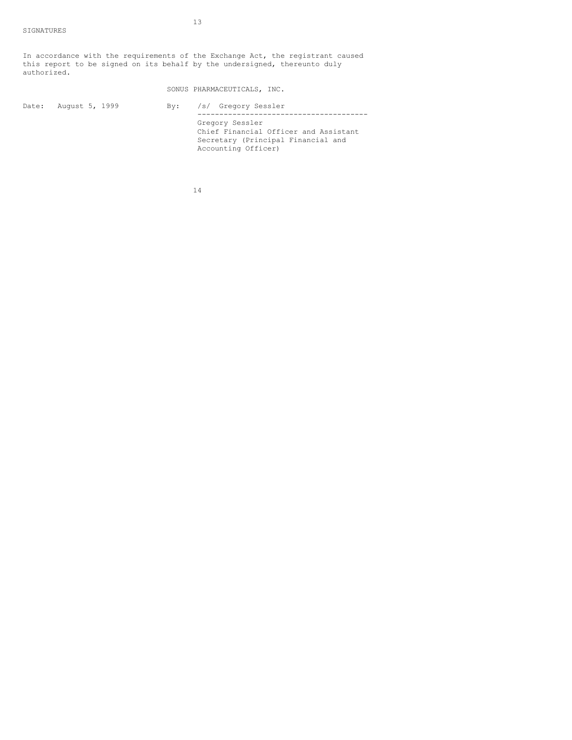In accordance with the requirements of the Exchange Act, the registrant caused this report to be signed on its behalf by the undersigned, thereunto duly authorized.

|       |                | SONUS PHARMACEUTICALS, INC.                                                                                           |  |  |
|-------|----------------|-----------------------------------------------------------------------------------------------------------------------|--|--|
| Date: | August 5, 1999 | By: /s/ Gregory Sessler                                                                                               |  |  |
|       |                | Gregory Sessler<br>Chief Financial Officer and Assistant<br>Secretary (Principal Financial and<br>Accounting Officer) |  |  |

14